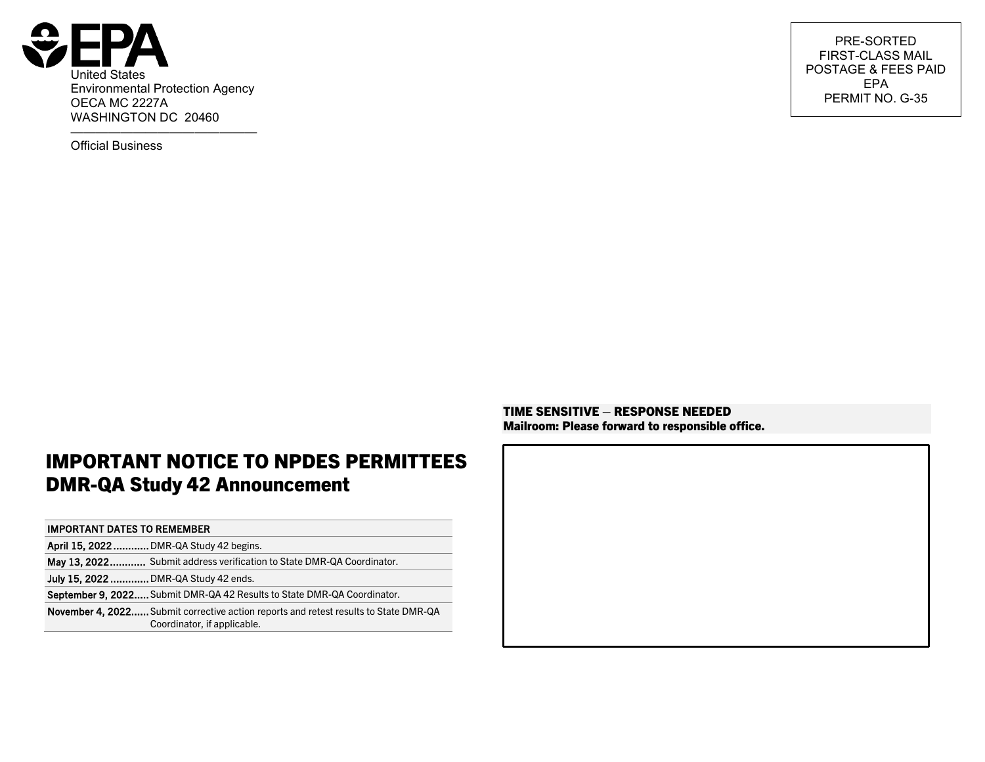

——————————————— Official Business

PRE-SORTED FIRST-CLASS MAIL POSTAGE & FEES PAID EPA PERMIT NO. G-35

## IMPORTANT NOTICE TO NPDES PERMITTEES DMR-QA Study 42 Announcement

#### IMPORTANT DATES TO REMEMBER

| April 15, 2022 DMR-QA Study 42 begins.                                                                                     |
|----------------------------------------------------------------------------------------------------------------------------|
| May 13, 2022 Submit address verification to State DMR-QA Coordinator.                                                      |
| <b>July 15, 2022 </b> DMR-QA Study 42 ends.                                                                                |
| September 9, 2022 Submit DMR-QA 42 Results to State DMR-QA Coordinator.                                                    |
| <b>November 4. 2022</b> Submit corrective action reports and retest results to State DMR-QA<br>Coordinator, if applicable. |

TIME SENSITIVE – RESPONSE NEEDED Mailroom: Please forward to responsible office.

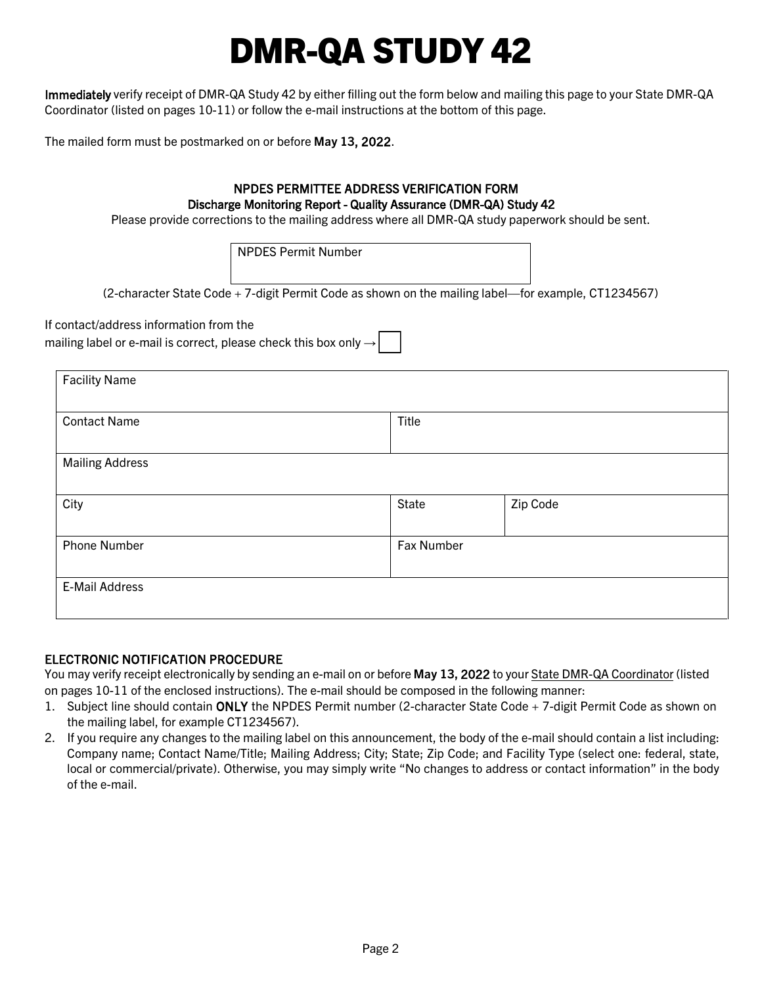# DMR-QA STUDY 42

Immediately verify receipt of DMR-QA Study 42 by either filling out the form below and mailing this page to your State DMR-QA Coordinator (listed on pages [10](#page-9-0)[-11\)](#page-10-0) or follow the e-mail instructions at the bottom of this page.

The mailed form must be postmarked on or before May 13, 2022.

#### NPDES PERMITTEE ADDRESS VERIFICATION FORM Discharge Monitoring Report - Quality Assurance (DMR-QA) Study 42

Please provide corrections to the mailing address where all DMR-QA study paperwork should be sent.

NPDES Permit Number

(2-character State Code + 7-digit Permit Code as shown on the mailing label—for example, CT1234567)

If contact/address information from the

mailing label or e-mail is correct, please check this box only  $\rightarrow$ 

| <b>Facility Name</b>   |            |          |
|------------------------|------------|----------|
| <b>Contact Name</b>    | Title      |          |
| <b>Mailing Address</b> |            |          |
| City                   | State      | Zip Code |
| <b>Phone Number</b>    | Fax Number |          |
| E-Mail Address         |            |          |

#### ELECTRONIC NOTIFICATION PROCEDURE

You may verify receipt electronically by sending an e-mail on or before May 13, 2022 to your [State DMR-QA Coordinator](#page-9-0) (listed on pages [10](#page-9-0)[-11](#page-10-0) of the enclosed instructions). The e-mail should be composed in the following manner:

- 1. Subject line should contain ONLY the NPDES Permit number (2-character State Code + 7-digit Permit Code as shown on the mailing label, for example CT1234567).
- 2. If you require any changes to the mailing label on this announcement, the body of the e-mail should contain a list including: Company name; Contact Name/Title; Mailing Address; City; State; Zip Code; and Facility Type (select one: federal, state, local or commercial/private). Otherwise, you may simply write "No changes to address or contact information" in the body of the e-mail.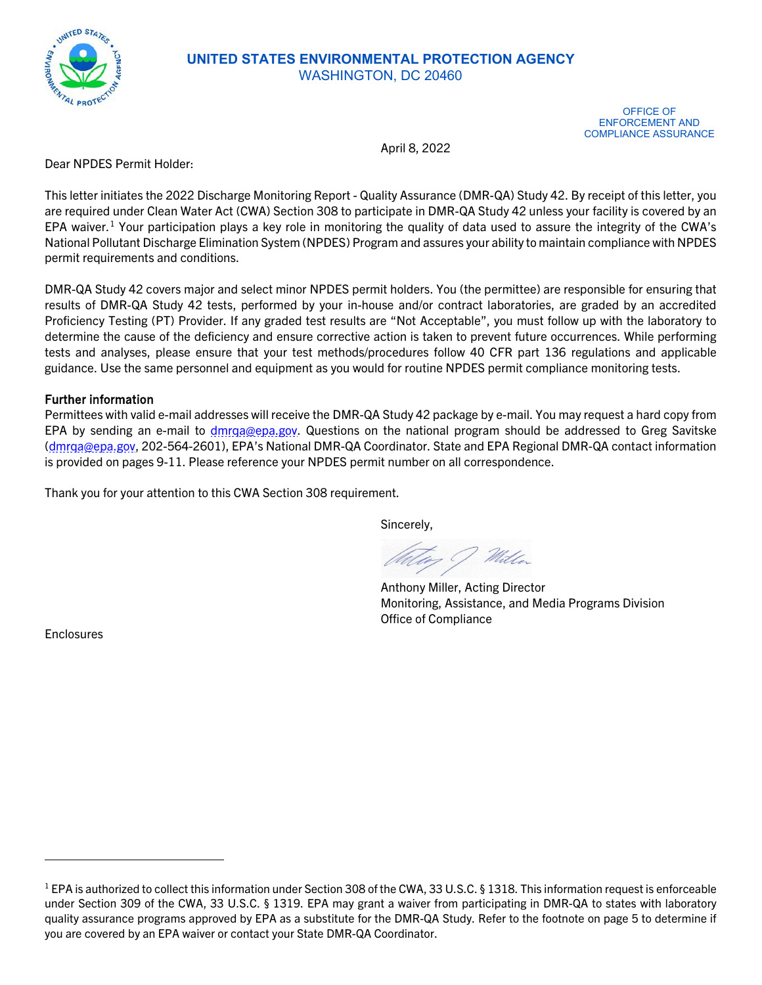

#### **UNITED STATES ENVIRONMENTAL PROTECTION AGENCY** WASHINGTON, DC 20460

OFFICE OF ENFORCEMENT AND COMPLIANCE ASSURANCE

April 8, 2022

Dear NPDES Permit Holder:

This letter initiates the 2022 Discharge Monitoring Report - Quality Assurance (DMR-QA) Study 42. By receipt of this letter, you are required under Clean Water Act (CWA) Section 308 to participate in DMR-QA Study 42 unless your facility is covered by an EPA waiver.<sup>[1](#page-2-0)</sup> Your participation plays a key role in monitoring the quality of data used to assure the integrity of the CWA's National Pollutant Discharge Elimination System (NPDES) Program and assures your ability to maintain compliance with NPDES permit requirements and conditions.

DMR-QA Study 42 covers major and select minor NPDES permit holders. You (the permittee) are responsible for ensuring that results of DMR-QA Study 42 tests, performed by your in-house and/or contract laboratories, are graded by an accredited Proficiency Testing (PT) Provider. If any graded test results are "Not Acceptable", you must follow up with the laboratory to determine the cause of the deficiency and ensure corrective action is taken to prevent future occurrences. While performing tests and analyses, please ensure that your test methods/procedures follow 40 CFR part 136 regulations and applicable guidance. Use the same personnel and equipment as you would for routine NPDES permit compliance monitoring tests.

#### Further information

Permittees with valid e-mail addresses will receive the DMR-QA Study 42 package by e-mail. You may request a hard copy from EPA by sending an e-mail to dmrga@epa.gov. Questions on the national program should be addressed to Greg Savitske [\(dmrqa@epa.gov,](mailto:dmrqa@epa.gov) 202-564-2601), EPA's National DMR-QA Coordinator. State and EPA Regional DMR-QA contact information is provided on pages [9-](#page-8-0)[11.](#page-10-0) Please reference your NPDES permit number on all correspondence.

Thank you for your attention to this CWA Section 308 requirement.

Sincerely,

With

Anthony Miller, Acting Director Monitoring, Assistance, and Media Programs Division Office of Compliance

Enclosures

<span id="page-2-0"></span><sup>&</sup>lt;sup>1</sup> EPA is authorized to collect this information under Section 308 of the CWA, 33 U.S.C. § 1318. This information request is enforceable under Section 309 of the CWA, 33 U.S.C. § 1319. EPA may grant a waiver from participating in DMR-QA to states with laboratory quality assurance programs approved by EPA as a substitute for the DMR-QA Study. Refer to the footnote on page 5 to determine if you are covered by an EPA waiver or contact your State DMR-QA Coordinator.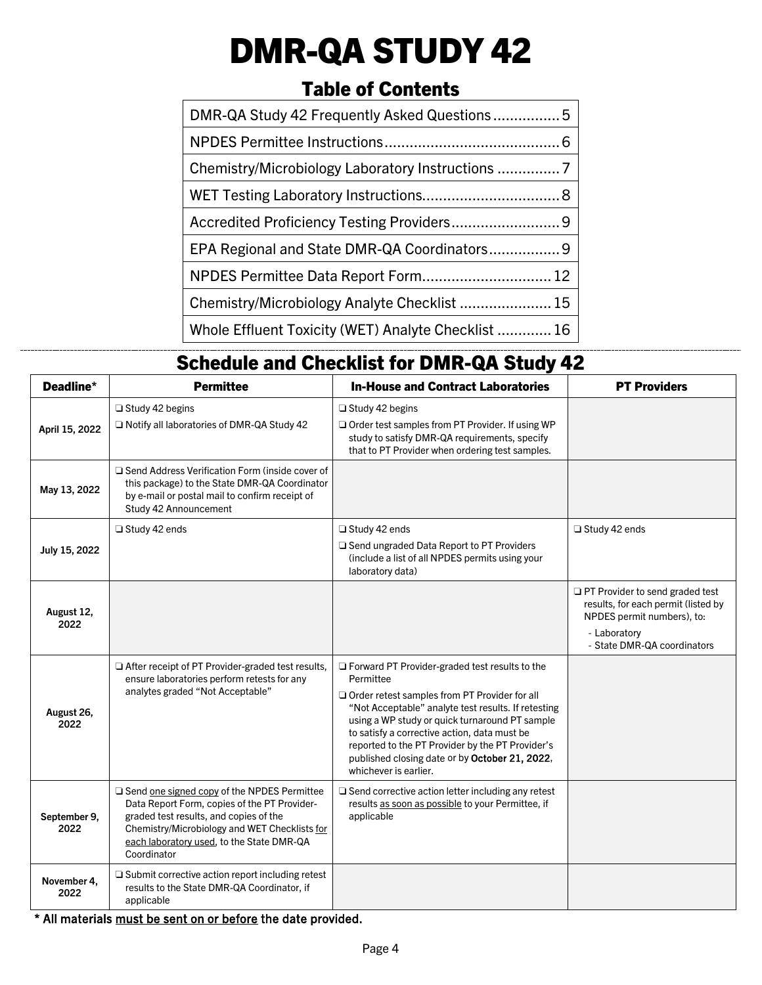# DMR-QA STUDY 42

## Table of Contents

| DMR-QA Study 42 Frequently Asked Questions5         |  |
|-----------------------------------------------------|--|
|                                                     |  |
|                                                     |  |
|                                                     |  |
|                                                     |  |
|                                                     |  |
| NPDES Permittee Data Report Form 12                 |  |
| Chemistry/Microbiology Analyte Checklist  15        |  |
| Whole Effluent Toxicity (WET) Analyte Checklist  16 |  |

## Schedule and Checklist for DMR-QA Study 42

| Deadline*            | <b>Permittee</b>                                                                                                                                                                                                                                          | <b>In-House and Contract Laboratories</b>                                                                                                                                                                                                                                                                                                                                                              | <b>PT Providers</b>                                                                                                                                 |
|----------------------|-----------------------------------------------------------------------------------------------------------------------------------------------------------------------------------------------------------------------------------------------------------|--------------------------------------------------------------------------------------------------------------------------------------------------------------------------------------------------------------------------------------------------------------------------------------------------------------------------------------------------------------------------------------------------------|-----------------------------------------------------------------------------------------------------------------------------------------------------|
| April 15, 2022       | Study 42 begins<br>□ Notify all laboratories of DMR-QA Study 42                                                                                                                                                                                           | $\Box$ Study 42 begins<br>Order test samples from PT Provider. If using WP<br>study to satisfy DMR-QA requirements, specify<br>that to PT Provider when ordering test samples.                                                                                                                                                                                                                         |                                                                                                                                                     |
| May 13, 2022         | □ Send Address Verification Form (inside cover of<br>this package) to the State DMR-QA Coordinator<br>by e-mail or postal mail to confirm receipt of<br>Study 42 Announcement                                                                             |                                                                                                                                                                                                                                                                                                                                                                                                        |                                                                                                                                                     |
| July 15, 2022        | $\Box$ Study 42 ends                                                                                                                                                                                                                                      | □ Study 42 ends<br>□ Send ungraded Data Report to PT Providers<br>(include a list of all NPDES permits using your<br>laboratory data)                                                                                                                                                                                                                                                                  | $\Box$ Study 42 ends                                                                                                                                |
| August 12,<br>2022   |                                                                                                                                                                                                                                                           |                                                                                                                                                                                                                                                                                                                                                                                                        | PT Provider to send graded test<br>results, for each permit (listed by<br>NPDES permit numbers), to:<br>- Laboratory<br>- State DMR-QA coordinators |
| August 26,<br>2022   | After receipt of PT Provider-graded test results,<br>ensure laboratories perform retests for any<br>analytes graded "Not Acceptable"                                                                                                                      | □ Forward PT Provider-graded test results to the<br>Permittee<br>Order retest samples from PT Provider for all<br>"Not Acceptable" analyte test results. If retesting<br>using a WP study or quick turnaround PT sample<br>to satisfy a corrective action, data must be<br>reported to the PT Provider by the PT Provider's<br>published closing date or by October 21, 2022,<br>whichever is earlier. |                                                                                                                                                     |
| September 9,<br>2022 | $\Box$ Send one signed copy of the NPDES Permittee<br>Data Report Form, copies of the PT Provider-<br>graded test results, and copies of the<br>Chemistry/Microbiology and WET Checklists for<br>each laboratory used, to the State DMR-QA<br>Coordinator | $\Box$ Send corrective action letter including any retest<br>results as soon as possible to your Permittee, if<br>applicable                                                                                                                                                                                                                                                                           |                                                                                                                                                     |
| November 4,<br>2022  | $\Box$ Submit corrective action report including retest<br>results to the State DMR-QA Coordinator, if<br>applicable                                                                                                                                      |                                                                                                                                                                                                                                                                                                                                                                                                        |                                                                                                                                                     |

\* All materials must be sent on or before the date provided.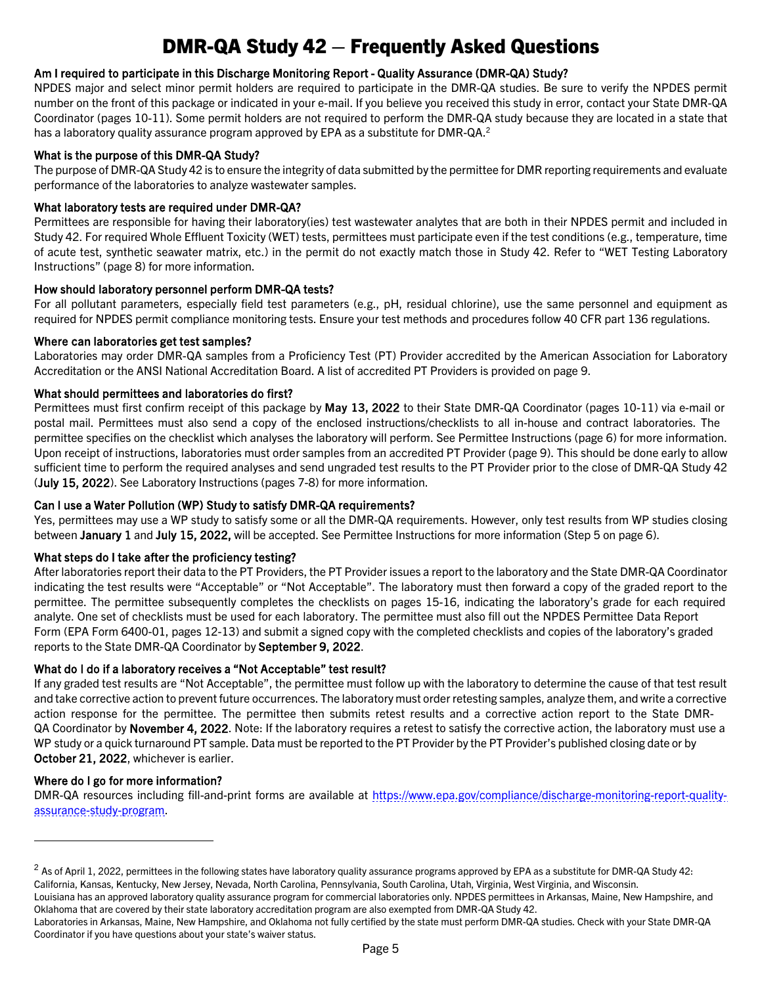## <span id="page-4-2"></span>DMR-QA Study 42 – Frequently Asked Questions

#### <span id="page-4-0"></span>Am I required to participate in this Discharge Monitoring Report - Quality Assurance (DMR-QA) Study?

NPDES major and select minor permit holders are required to participate in the DMR-QA studies. Be sure to verify the NPDES permit number on the front of this package or indicated in your e-mail. If you believe you received this study in error, contact your State DMR-QA Coordinator (pages [10](#page-9-0)[-11\)](#page-10-0). Some permit holders are not required to perform the DMR-QA study because they are located in a state that has a laboratory quality assurance program approved by EPA as a substitute for DMR-QA.<sup>[2](#page-4-1)</sup>

#### What is the purpose of this DMR-QA Study?

The purpose of DMR-QA Study 42 is to ensure the integrity of data submitted by the permittee for DMR reporting requirements and evaluate performance of the laboratories to analyze wastewater samples.

#### What laboratory tests are required under DMR-QA?

Permittees are responsible for having their laboratory(ies) test wastewater analytes that are both in their NPDES permit and included in Study 42. For required Whole Effluent Toxicity (WET) tests, permittees must participate even if the test conditions (e.g., temperature, time of acute test, synthetic seawater matrix, etc.) in the permit do not exactly match those in Study 42. Refer to "WET Testing Laboratory Instructions" (pag[e 8\)](#page-7-0) for more information.

#### How should laboratory personnel perform DMR-QA tests?

For all pollutant parameters, especially field test parameters (e.g., pH, residual chlorine), use the same personnel and equipment as required for NPDES permit compliance monitoring tests. Ensure your test methods and procedures follow 40 CFR part 136 regulations.

#### Where can laboratories get test samples?

Laboratories may order DMR-QA samples from a Proficiency Test (PT) Provider accredited by the American Association for Laboratory Accreditation or the ANSI National Accreditation Board. A list of accredited PT Providers is provided on page [9.](#page-8-1) 

#### What should permittees and laboratories do first?

Permittees must first confirm receipt of this package by May 13, 2022 to their State DMR-QA Coordinator (pages [10-](#page-9-0)[11\)](#page-10-0) via e-mail or postal mail. Permittees must also send a copy of the enclosed instructions/checklists to all in-house and contract laboratories. The permittee specifies on the checklist which analyses the laboratory will perform. See Permittee Instructions (page [6\)](#page-5-0) for more information. Upon receipt of instructions, laboratories must order samples from an accredited PT Provider (page [9\).](#page-8-1) This should be done early to allow sufficient time to perform the required analyses and send ungraded test results to the PT Provider prior to the close of DMR-QA Study 42 (July 15, 2022). See Laboratory Instructions (pages [7-](#page-6-0)[8\)](#page-7-0) for more information.

#### Can I use a Water Pollution (WP) Study to satisfy DMR-QA requirements?

Yes, permittees may use a WP study to satisfy some or all the DMR-QA requirements. However, only test results from WP studies closing between January 1 and July 15, 2022, will be accepted. See Permittee Instructions for more information (Step 5 on page 6).

#### What steps do I take after the proficiency testing?

After laboratories report their data to the PT Providers, the PT Provider issues a report to the laboratory and the State DMR-QA Coordinator indicating the test results were "Acceptable" or "Not Acceptable". The laboratory must then forward a copy of the graded report to the permittee. The permittee subsequently completes the checklists on pages [15](#page-14-0)[-16,](#page-15-0) indicating the laboratory's grade for each required analyte. One set of checklists must be used for each laboratory. The permittee must also fill out the NPDES Permittee Data Report Form (EPA Form 6400-01, pages [12](#page-11-0)[-13\)](#page-12-0) and submit a signed copy with the completed checklists and copies of the laboratory's graded reports to the State DMR-QA Coordinator by September 9, 2022.

#### What do I do if a laboratory receives a "Not Acceptable" test result?

If any graded test results are "Not Acceptable", the permittee must follow up with the laboratory to determine the cause of that test result and take corrective action to prevent future occurrences. The laboratory must order retesting samples, analyze them, and write a corrective action response for the permittee. The permittee then submits retest results and a corrective action report to the State DMR-QA Coordinator by November 4, 2022. Note: If the laboratory requires a retest to satisfy the corrective action, the laboratory must use a WP study or a quick turnaround PT sample. Data must be reported to the PT Provider by the PT Provider's published closing date or by October 21, 2022, whichever is earlier.

#### Where do I go for more information?

DMR-QA resources including fill-and-print forms are available at [https://www.epa.gov/compliance/discharge-monitoring-report-quality](https://www.epa.gov/compliance/discharge-monitoring-report-quality-assurance-study-program)[assurance-study-program.](https://www.epa.gov/compliance/discharge-monitoring-report-quality-assurance-study-program)

<span id="page-4-3"></span><span id="page-4-1"></span> $2$  As of April 1, 2022, permittees in the following states have laboratory quality assurance programs approved by EPA as a substitute for DMR-QA Study 42: California, Kansas, Kentucky, New Jersey, Nevada, North Carolina, Pennsylvania, South Carolina, Utah, Virginia, West Virginia, and Wisconsin.

Louisiana has an approved laboratory quality assurance program for commercial laboratories only. NPDES permittees in Arkansas, Maine, New Hampshire, and Oklahoma that are covered by their state laboratory accreditation program are also exempted from DMR-QA Study 42.

Laboratories in Arkansas, Maine, New Hampshire, and Oklahoma not fully certified by the state must perform DMR-QA studies. Check with your State DMR-QA Coordinator if you have questions about your state's waiver status.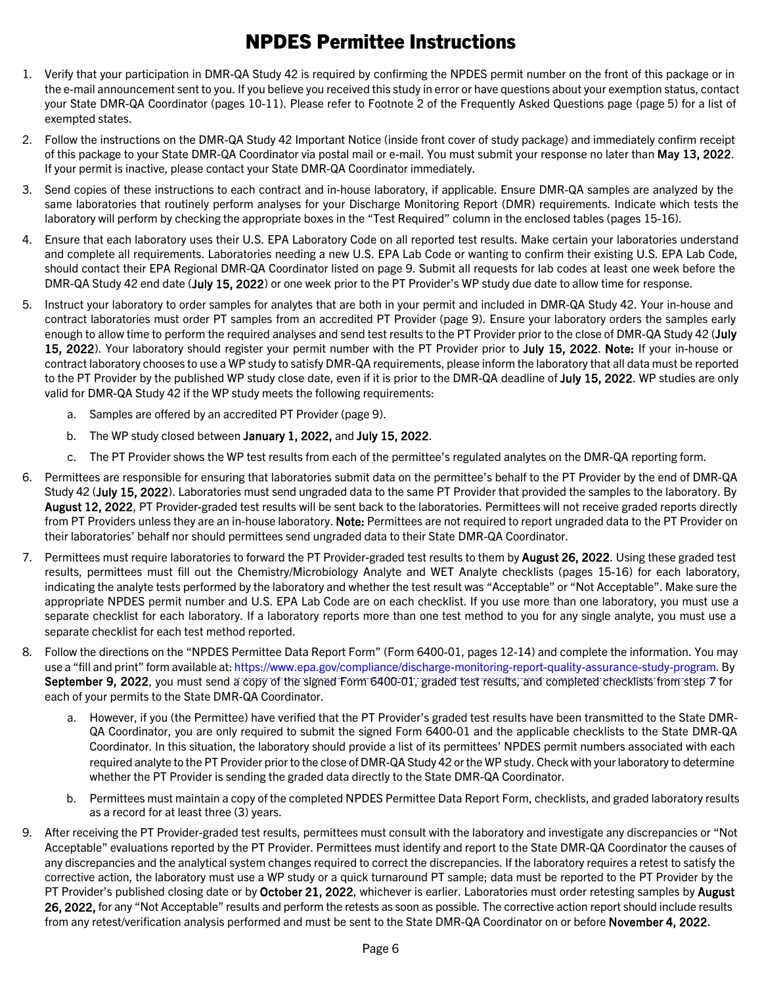## NPDES Permittee Instructions

- <span id="page-5-0"></span>1. Verify that your participation in DMR-QA Study 42 is required by confirming the NPDES permit number on the front of this package or in the e-mail announcement sent to you. If you believe you received this study in error or have questions about your exemption status, contact your State DMR-QA Coordinator (pages [10-](#page-9-0)[11\).](#page-10-0) Please refer to Footnot[e 2](#page-4-2) of the Frequently Asked Questions page (pag[e 5\)](#page-4-3) for a list of exempted states.
- 2. Follow the instructions on the DMR-QA Study 42 Important Notice (inside front cover of study package) and immediately confirm receipt of this package to your State DMR-QA Coordinator via postal mail or e-mail. You must submit your response no later than May 13, 2022. If your permit is inactive, please contact your State DMR-QA Coordinator immediately.
- 3. Send copies of these instructions to each contract and in-house laboratory, if applicable. Ensure DMR-QA samples are analyzed by the same laboratories that routinely perform analyses for your Discharge Monitoring Report (DMR) requirements. Indicate which tests the laboratory will perform by checking the appropriate boxes in the "Test Required" column in the enclosed tables (pages [15-](#page-14-0)[16\).](#page-15-0)
- 4. Ensure that each laboratory uses their U.S. EPA Laboratory Code on all reported test results. Make certain your laboratories understand and complete all requirements. Laboratories needing a new U.S. EPA Lab Code or wanting to confirm their existing U.S. EPA Lab Code, should contact their EPA Regional DMR-QA Coordinator listed on page [9.](#page-8-0) Submit all requests for lab codes at least one week before the DMR-QA Study 42 end date (July 15, 2022) or one week prior to the PT Provider's WP study due date to allow time for response.
- 5. Instruct your laboratory to order samples for analytes that are both in your permit and included in DMR-QA Study 42. Your in-house and contract laboratories must order PT samples from an accredited PT Provider (page [9\).](#page-8-1) Ensure your laboratory orders the samples early enough to allow time to perform the required analyses and send test results to the PT Provider prior to the close of DMR-QA Study 42 (July 15, 2022). Your laboratory should register your permit number with the PT Provider prior to July 15, 2022. Note: If your in-house or contract laboratory chooses to use a WP study to satisfy DMR-QA requirements, please inform the laboratory that all data must be reported to the PT Provider by the published WP study close date, even if it is prior to the DMR-QA deadline of July 15, 2022. WP studies are only valid for DMR-QA Study 42 if the WP study meets the following requirements:
	- a. Samples are offered by an accredited PT Provider (page [9\).](#page-8-1)
	- b. The WP study closed between January 1, 2022, and July 15, 2022.
	- c. The PT Provider shows the WP test results from each of the permittee's regulated analytes on the DMR-QA reporting form.
- 6. Permittees are responsible for ensuring that laboratories submit data on the permittee's behalf to the PT Provider by the end of DMR-QA Study 42 (July 15, 2022). Laboratories must send ungraded data to the same PT Provider that provided the samples to the laboratory. By August 12, 2022, PT Provider-graded test results will be sent back to the laboratories. Permittees will not receive graded reports directly from PT Providers unless they are an in-house laboratory. Note: Permittees are not required to report ungraded data to the PT Provider on their laboratories' behalf nor should permittees send ungraded data to their State DMR-QA Coordinator.
- 7. Permittees must require laboratories to forward the PT Provider-graded test results to them by **August 26, 2022**. Using these graded test results, permittees must fill out the Chemistry/Microbiology Analyte and WET Analyte checklists (pages [15](#page-14-0)[-16\)](#page-15-0) for each laboratory, indicating the analyte tests performed by the laboratory and whether the test result was "Acceptable" or "Not Acceptable". Make sure the appropriate NPDES permit number and U.S. EPA Lab Code are on each checklist. If you use more than one laboratory, you must use a separate checklist for each laboratory. If a laboratory reports more than one test method to you for any single analyte, you must use a separate checklist for each test method reported.
- 8. Follow the directions on the "NPDES Permittee Data Report Form" (Form 6400-01, pages [12-](#page-11-0)[14\)](#page-13-0) and complete the information. You may use a "fill and print" form available at: [https://www.epa.gov/compliance/discharge-monitoring-report-quality-assurance-study-program.](https://www.epa.gov/compliance/discharge-monitoring-report-quality-assurance-study-program) By September 9, 2022, you must send a copy of the signed Form 6400-01, graded test results, and completed checklists from step 7 for each of your permits to the State DMR-QA Coordinator.
	- a. However, if you (the Permittee) have verified that the PT Provider's graded test results have been transmitted to the State DMR-QA Coordinator, you are only required to submit the signed Form 6400-01 and the applicable checklists to the State DMR-QA Coordinator. In this situation, the laboratory should provide a list of its permittees' NPDES permit numbers associated with each required analyte to the PT Provider prior to the close of DMR-QA Study 42 or the WP study. Check with your laboratory to determine whether the PT Provider is sending the graded data directly to the State DMR-QA Coordinator.
	- b. Permittees must maintain a copy of the completed NPDES Permittee Data Report Form, checklists, and graded laboratory results as a record for at least three (3) years.
- 9. After receiving the PT Provider-graded test results, permittees must consult with the laboratory and investigate any discrepancies or "Not Acceptable" evaluations reported by the PT Provider. Permittees must identify and report to the State DMR-QA Coordinator the causes of any discrepancies and the analytical system changes required to correct the discrepancies. If the laboratory requires a retest to satisfy the corrective action, the laboratory must use a WP study or a quick turnaround PT sample; data must be reported to the PT Provider by the PT Provider's published closing date or by October 21, 2022, whichever is earlier. Laboratories must order retesting samples by August 26, 2022, for any "Not Acceptable" results and perform the retests as soon as possible. The corrective action report should include results from any retest/verification analysis performed and must be sent to the State DMR-QA Coordinator on or before November 4, 2022.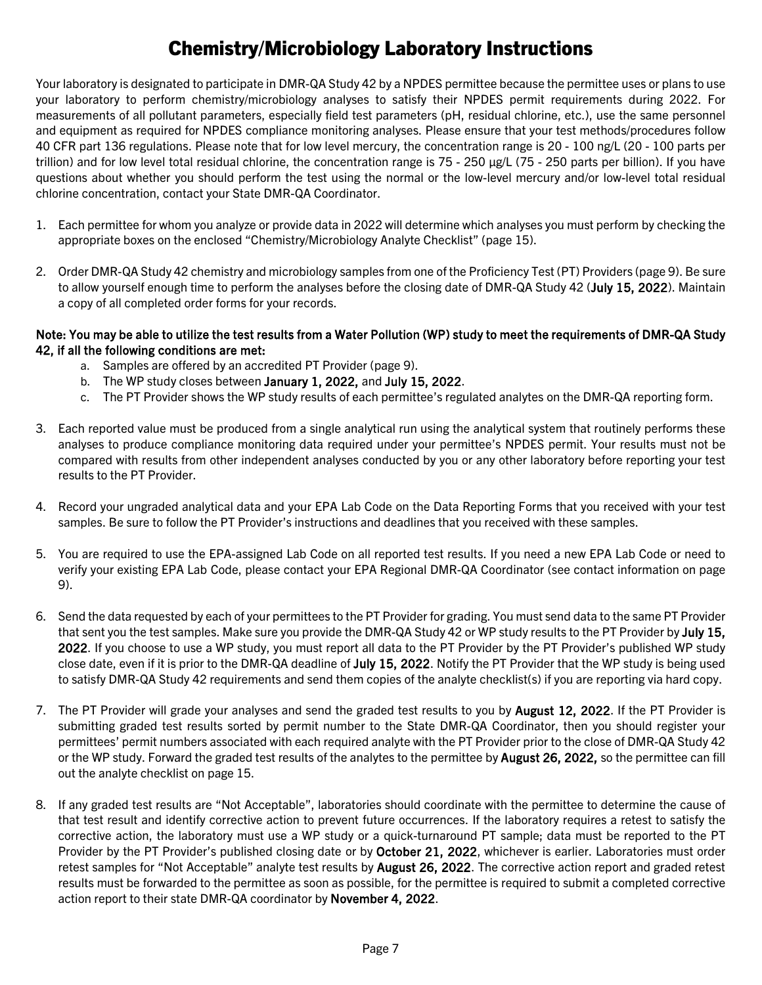## Chemistry/Microbiology Laboratory Instructions

<span id="page-6-0"></span>Your laboratory is designated to participate in DMR-QA Study 42 by a NPDES permittee because the permittee uses or plans to use your laboratory to perform chemistry/microbiology analyses to satisfy their NPDES permit requirements during 2022. For measurements of all pollutant parameters, especially field test parameters (pH, residual chlorine, etc.), use the same personnel and equipment as required for NPDES compliance monitoring analyses. Please ensure that your test methods/procedures follow 40 CFR part 136 regulations. Please note that for low level mercury, the concentration range is 20 - 100 ng/L (20 - 100 parts per trillion) and for low level total residual chlorine, the concentration range is 75 - 250 µg/L (75 - 250 parts per billion). If you have questions about whether you should perform the test using the normal or the low-level mercury and/or low-level total residual chlorine concentration, contact your State DMR-QA Coordinator.

- 1. Each permittee for whom you analyze or provide data in 2022 will determine which analyses you must perform by checking the appropriate boxes on the enclosed "Chemistry/Microbiology Analyte Checklist" (page [15\)](#page-14-0).
- 2. Order DMR-QA Study 42 chemistry and microbiology samples from one of the Proficiency Test (PT) Providers (pag[e 9\)](#page-8-1). Be sure to allow yourself enough time to perform the analyses before the closing date of DMR-QA Study 42 (July 15, 2022). Maintain a copy of all completed order forms for your records.

#### Note: You may be able to utilize the test results from a Water Pollution (WP) study to meet the requirements of DMR-QA Study 42, if all the following conditions are met:

- a. Samples are offered by an accredited PT Provider (page [9\)](#page-8-1).
- b. The WP study closes between January 1, 2022, and July 15, 2022.
- c. The PT Provider shows the WP study results of each permittee's regulated analytes on the DMR-QA reporting form.
- 3. Each reported value must be produced from a single analytical run using the analytical system that routinely performs these analyses to produce compliance monitoring data required under your permittee's NPDES permit. Your results must not be compared with results from other independent analyses conducted by you or any other laboratory before reporting your test results to the PT Provider.
- 4. Record your ungraded analytical data and your EPA Lab Code on the Data Reporting Forms that you received with your test samples. Be sure to follow the PT Provider's instructions and deadlines that you received with these samples.
- 5. You are required to use the EPA-assigned Lab Code on all reported test results. If you need a new EPA Lab Code or need to verify your existing EPA Lab Code, please contact your EPA Regional DMR-QA Coordinator (see contact information on page [9\)](#page-8-0).
- 6. Send the data requested by each of your permittees to the PT Provider for grading. You must send data to the same PT Provider that sent you the test samples. Make sure you provide the DMR-QA Study 42 or WP study results to the PT Provider by July 15, 2022. If you choose to use a WP study, you must report all data to the PT Provider by the PT Provider's published WP study close date, even if it is prior to the DMR-QA deadline of July 15, 2022. Notify the PT Provider that the WP study is being used to satisfy DMR-QA Study 42 requirements and send them copies of the analyte checklist(s) if you are reporting via hard copy.
- 7. The PT Provider will grade your analyses and send the graded test results to you by August 12, 2022. If the PT Provider is submitting graded test results sorted by permit number to the State DMR-QA Coordinator, then you should register your permittees' permit numbers associated with each required analyte with the PT Provider prior to the close of DMR-QA Study 42 or the WP study. Forward the graded test results of the analytes to the permittee by August 26, 2022, so the permittee can fill out the analyte checklist on page [15.](#page-14-0)
- 8. If any graded test results are "Not Acceptable", laboratories should coordinate with the permittee to determine the cause of that test result and identify corrective action to prevent future occurrences. If the laboratory requires a retest to satisfy the corrective action, the laboratory must use a WP study or a quick-turnaround PT sample; data must be reported to the PT Provider by the PT Provider's published closing date or by October 21, 2022, whichever is earlier. Laboratories must order retest samples for "Not Acceptable" analyte test results by August 26, 2022. The corrective action report and graded retest results must be forwarded to the permittee as soon as possible, for the permittee is required to submit a completed corrective action report to their state DMR-QA coordinator by November 4, 2022.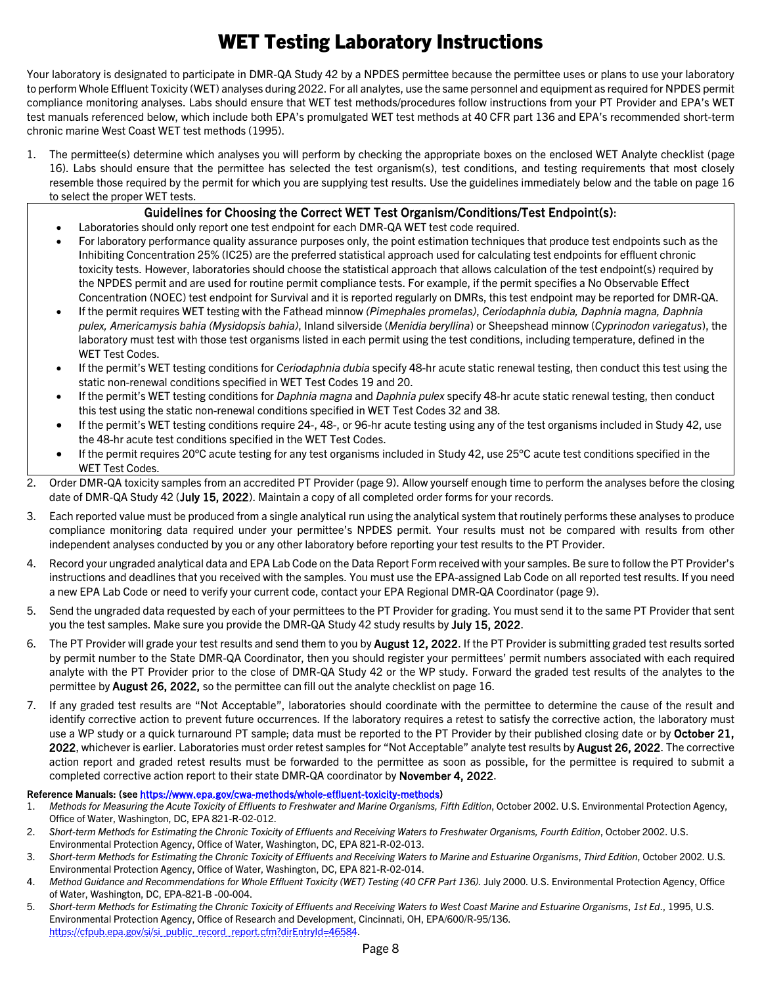## WET Testing Laboratory Instructions

<span id="page-7-0"></span>Your laboratory is designated to participate in DMR-QA Study 42 by a NPDES permittee because the permittee uses or plans to use your laboratory to perform Whole Effluent Toxicity (WET) analyses during 2022. For all analytes, use the same personnel and equipment as required for NPDES permit compliance monitoring analyses. Labs should ensure that WET test methods/procedures follow instructions from your PT Provider and EPA's WET test manuals referenced below, which include both EPA's promulgated WET test methods at 40 CFR part 136 and EPA's recommended short-term chronic marine West Coast WET test methods (1995).

1. The permittee(s) determine which analyses you will perform by checking the appropriate boxes on the enclosed WET Analyte checklist (page [16\)](#page-15-0). Labs should ensure that the permittee has selected the test organism(s), test conditions, and testing requirements that most closely resemble those required by the permit for which you are supplying test results. Use the guidelines immediately below and the table on page [16](#page-15-0) to select the proper WET tests.

#### Guidelines for Choosing the Correct WET Test Organism/Conditions/Test Endpoint(s):

- Laboratories should only report one test endpoint for each DMR-QA WET test code required.
- For laboratory performance quality assurance purposes only, the point estimation techniques that produce test endpoints such as the Inhibiting Concentration 25% (IC25) are the preferred statistical approach used for calculating test endpoints for effluent chronic toxicity tests. However, laboratories should choose the statistical approach that allows calculation of the test endpoint(s) required by the NPDES permit and are used for routine permit compliance tests. For example, if the permit specifies a No Observable Effect Concentration (NOEC) test endpoint for Survival and it is reported regularly on DMRs, this test endpoint may be reported for DMR-QA.
- If the permit requires WET testing with the Fathead minnow *(Pimephales promelas)*, *Ceriodaphnia dubia, Daphnia magna, Daphnia pulex, Americamysis bahia (Mysidopsis bahia)*, Inland silverside (*Menidia beryllina*) or Sheepshead minnow (*Cyprinodon variegatus*), the laboratory must test with those test organisms listed in each permit using the test conditions, including temperature, defined in the WET Test Codes.
- If the permit's WET testing conditions for *Ceriodaphnia dubia* specify 48-hr acute static renewal testing, then conduct this test using the static non-renewal conditions specified in WET Test Codes 19 and 20.
- If the permit's WET testing conditions for *Daphnia magna* and *Daphnia pulex* specify 48-hr acute static renewal testing, then conduct this test using the static non-renewal conditions specified in WET Test Codes 32 and 38.
- If the permit's WET testing conditions require 24-, 48-, or 96-hr acute testing using any of the test organisms included in Study 42, use the 48-hr acute test conditions specified in the WET Test Codes.
- If the permit requires 20°C acute testing for any test organisms included in Study 42, use 25°C acute test conditions specified in the WET Test Codes.
- 2. Order DMR-QA toxicity samples from an accredited PT Provider (pag[e 9\)](#page-8-1). Allow yourself enough time to perform the analyses before the closing date of DMR-QA Study 42 (July 15, 2022). Maintain a copy of all completed order forms for your records.
- 3. Each reported value must be produced from a single analytical run using the analytical system that routinely performs these analyses to produce compliance monitoring data required under your permittee's NPDES permit. Your results must not be compared with results from other independent analyses conducted by you or any other laboratory before reporting your test results to the PT Provider.
- 4. Record your ungraded analytical data and EPA Lab Code on the Data Report Form received with your samples. Be sure to follow the PT Provider's instructions and deadlines that you received with the samples. You must use the EPA-assigned Lab Code on all reported test results. If you need a new EPA Lab Code or need to verify your current code, contact your EPA Regional DMR-QA Coordinator (page [9\)](#page-8-0).
- 5. Send the ungraded data requested by each of your permittees to the PT Provider for grading. You must send it to the same PT Provider that sent you the test samples. Make sure you provide the DMR-QA Study 42 study results by July 15, 2022.
- 6. The PT Provider will grade your test results and send them to you by **August 12, 2022**. If the PT Provider is submitting graded test results sorted by permit number to the State DMR-QA Coordinator, then you should register your permittees' permit numbers associated with each required analyte with the PT Provider prior to the close of DMR-QA Study 42 or the WP study. Forward the graded test results of the analytes to the permittee by August 26, 2022, so the permittee can fill out the analyte checklist on page [16.](#page-15-0)
- 7. If any graded test results are "Not Acceptable", laboratories should coordinate with the permittee to determine the cause of the result and identify corrective action to prevent future occurrences. If the laboratory requires a retest to satisfy the corrective action, the laboratory must use a WP study or a quick turnaround PT sample; data must be reported to the PT Provider by their published closing date or by October 21, 2022, whichever is earlier. Laboratories must order retest samples for "Not Acceptable" analyte test results by **August 26, 2022**. The corrective action report and graded retest results must be forwarded to the permittee as soon as possible, for the permittee is required to submit a completed corrective action report to their state DMR-QA coordinator by November 4, 2022.

#### Reference Manuals: (se[e https://www.epa.gov/cwa-methods/whole-effluent-toxicity-methods\)](https://www.epa.gov/cwa-methods/whole-effluent-toxicity-methods)

- 1. *Methods for Measuring the Acute Toxicity of Effluents to Freshwater and Marine Organisms, Fifth Edition*, October 2002. U.S. Environmental Protection Agency, Office of Water, Washington, DC, EPA 821-R-02-012.
- 2. *Short-term Methods for Estimating the Chronic Toxicity of Effluents and Receiving Waters to Freshwater Organisms, Fourth Edition*, October 2002. U.S. Environmental Protection Agency, Office of Water, Washington, DC, EPA 821-R-02-013.
- 3. *Short-term Methods for Estimating the Chronic Toxicity of Effluents and Receiving Waters to Marine and Estuarine Organisms*, *Third Edition*, October 2002. U.S. Environmental Protection Agency, Office of Water, Washington, DC, EPA 821-R-02-014.
- 4. Method Guidance and Recommendations for Whole Effluent Toxicity (WET) Testing (40 CFR Part 136). July 2000. U.S. Environmental Protection Agency, Office of Water, Washington, DC, EPA-821-B -00-004.
- 5. *Short-term Methods for Estimating the Chronic Toxicity of Effluents and Receiving Waters to West Coast Marine and Estuarine Organisms*, *1st Ed*., 1995, U.S. Environmental Protection Agency, Office of Research and Development, Cincinnati, OH, EPA/600/R-95/136. [https://cfpub.epa.gov/si/si\\_public\\_record\\_report.cfm?dirEntryId=46584.](https://cfpub.epa.gov/si/si_public_record_report.cfm?dirEntryId=46584)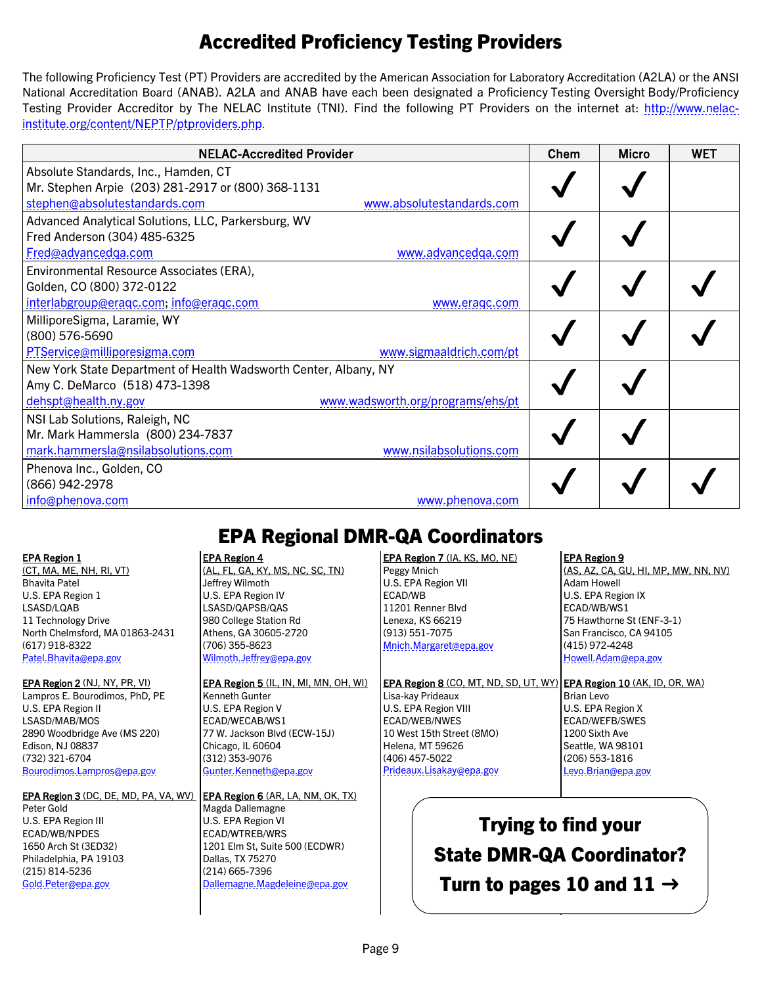## Accredited Proficiency Testing Providers

<span id="page-8-1"></span>The following Proficiency Test (PT) Providers are accredited by the American Association for Laboratory Accreditation (A2LA) or the ANSI National Accreditation Board (ANAB). A2LA and ANAB have each been designated a Proficiency Testing Oversight Body/Proficiency Testing Provider Accreditor by The NELAC Institute (TNI). Find the following PT Providers on the internet at: [http://www.nelac](http://www.nelac-institute.org/content/NEPTP/ptproviders.php)[institute.org/content/NEPTP/ptproviders.php.](http://www.nelac-institute.org/content/NEPTP/ptproviders.php)

| <b>NELAC-Accredited Provider</b>                                 | Chem | <b>Micro</b> | <b>WET</b> |
|------------------------------------------------------------------|------|--------------|------------|
| Absolute Standards, Inc., Hamden, CT                             |      |              |            |
| Mr. Stephen Arpie (203) 281-2917 or (800) 368-1131               |      |              |            |
| stephen@absolutestandards.com<br>www.absolutestandards.com       |      |              |            |
| Advanced Analytical Solutions, LLC, Parkersburg, WV              |      |              |            |
| Fred Anderson (304) 485-6325                                     |      |              |            |
| Fred@advancedga.com<br>www.advancedqa.com                        |      |              |            |
| Environmental Resource Associates (ERA),                         |      |              |            |
| Golden, CO (800) 372-0122                                        |      |              |            |
| interlabgroup@eragc.com, info@eragc.com<br>www.eragc.com         |      |              |            |
| MilliporeSigma, Laramie, WY                                      |      |              |            |
| (800) 576-5690                                                   |      |              |            |
| PTService@milliporesigma.com<br>www.sigmaaldrich.com/pt          |      |              |            |
| New York State Department of Health Wadsworth Center, Albany, NY |      |              |            |
| Amy C. DeMarco (518) 473-1398                                    |      |              |            |
| www.wadsworth.org/programs/ehs/pt<br>dehspt@health.ny.gov        |      |              |            |
| NSI Lab Solutions, Raleigh, NC                                   |      |              |            |
| Mr. Mark Hammersla (800) 234-7837                                |      |              |            |
| mark.hammersla@nsilabsolutions.com<br>www.nsilabsolutions.com    |      |              |            |
| Phenova Inc., Golden, CO                                         |      |              |            |
| (866) 942-2978                                                   |      |              |            |
| <u>info@phenova.com</u><br>www.phenova.com                       |      |              |            |

#### <span id="page-8-0"></span>EPA Region 1

(CT, MA, ME, NH, RI, VT) Bhavita Patel U.S. EPA Region 1 LSASD/LQAB 11 Technology Drive North Chelmsford, MA 01863-2431 (617) 918-8322 [Patel.Bhavita@epa.gov](mailto:Patel.Bhavita@epa.gov)

EPA Region 2 (NJ, NY, PR, VI) Lampros E. Bourodimos, PhD, PE U.S. EPA Region II LSASD/MAB/MOS 2890 Woodbridge Ave (MS 220) Edison, NJ 08837 (732) 321-6704 [Bourodimos.Lampros@epa.gov](mailto:Bourodimos.Lampros@epa.gov)

EPA Region 3 (DC, DE, MD, PA, VA, WV) Peter Gold U.S. EPA Region III ECAD/WB/NPDES 1650 Arch St (3ED32) Philadelphia, PA 19103 (215) 814-5236 [Gold.Peter@epa.gov](mailto:Gold.Peter@epa.gov)

## EPA Regional DMR-QA Coordinators

#### EPA Region 4

(AL, FL, GA, KY, MS, NC, SC, TN) Jeffrey Wilmoth U.S. EPA Region IV LSASD/QAPSB/QAS 980 College Station Rd Athens, GA 30605-2720 (706) 355-8623 [Wilmoth.Jeffrey@epa.gov](mailto:Wilmoth.Jeffrey@epa.gov)

#### EPA Region 5 (IL, IN, MI, MN, OH, WI) Kenneth Gunter U.S. EPA Region V ECAD/WECAB/WS1 77 W. Jackson Blvd (ECW-15J) Chicago, IL 60604 (312) 353-9076 [Gunter.Kenneth@epa.gov](mailto:Gunter.Kenneth@epa.gov)

EPA Region 6 (AR, LA, NM, OK, TX) Magda Dallemagne U.S. EPA Region VI ECAD/WTREB/WRS 1201 Elm St, Suite 500 (ECDWR) Dallas, TX 75270 (214) 665-7396 [Dallemagne.Magdeleine@epa.gov](mailto:Dallemagne.Magdeleine@epa.gov)

#### EPA Region 7 (IA, KS, MO, NE) Peggy Mnich U.S. EPA Region VII ECAD/WB 11201 Renner Blvd Lenexa, KS 66219 (913) 551-7075 [Mnich.Margaret@epa.gov](mailto:Mnich.Margaret@epa.gov)

#### EPA Region 8 (CO, MT, ND, SD, UT. WY) Lisa-kay Prideaux U.S. EPA Region VIII ECAD/WEB/NWES 10 West 15th Street (8MO) Helena, MT 59626 (406) 457-5022 [Prideaux.Lisa](mailto:Prideaux.LisaKay@epa.gov)kay@epa.gov

#### EPA Region 9

(AS, AZ, CA, GU, HI, MP, MW, NN, NV) Adam Howell U.S. EPA Region IX ECAD/WB/WS1 75 Hawthorne St (ENF-3-1) San Francisco, CA 94105 (415) 972-4248 [Howell.Adam@epa.gov](mailto:Howell.Adam@epa.gov)

EPA Region 10 (AK, ID, OR, WA) Brian Levo U.S. EPA Region X ECAD/WEFB/SWES 1200 Sixth Ave Seattle, WA 98101 (206) 553-1816 [Levo.Brian@epa.gov](mailto:Levo.Brian@epa.gov)

Trying to find your State DMR-QA Coordinator? Turn to pages 10 and 11  $\rightarrow$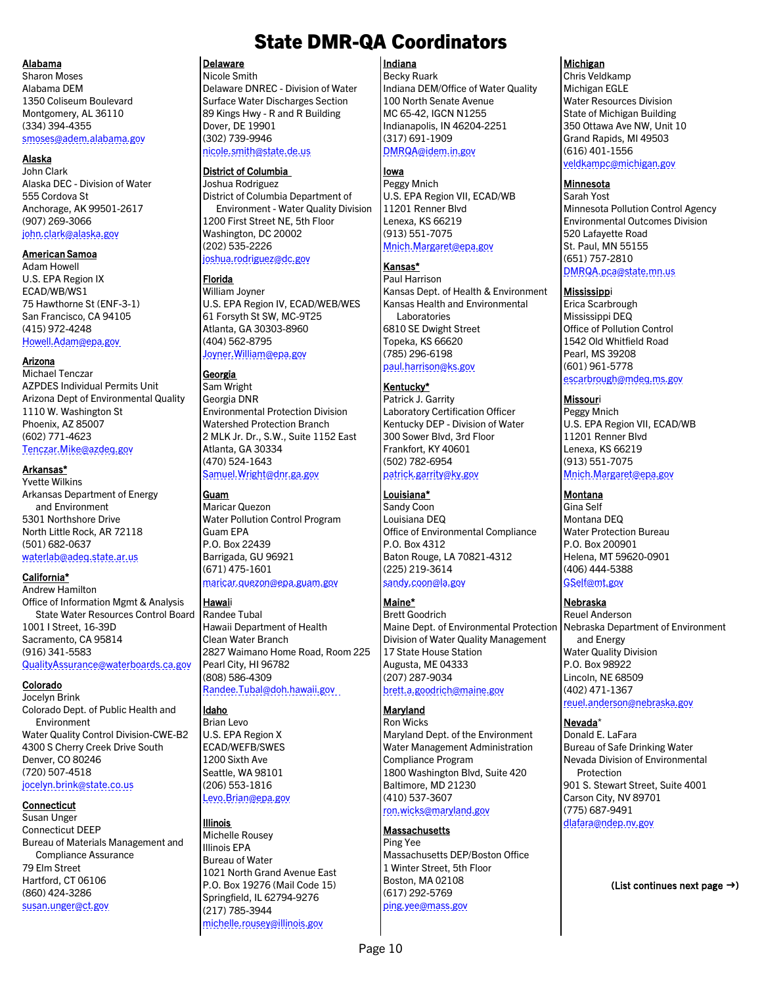#### <span id="page-9-0"></span>Alabama

Sharon Moses Alabama DEM 1350 Coliseum Boulevard Montgomery, AL 36110 (334) 394-4355 [smoses@adem.alabama.gov](mailto:smoses@adem.alabama.gov)

#### Alaska

John Clark Alaska DEC - Division of Water 555 Cordova St Anchorage, AK 99501-2617 (907) 269-3066 [john.clark@alaska.gov](mailto:john.clark@alaska.gov)

#### American Samoa

Adam Howell U.S. EPA Region IX ECAD/WB/WS1 75 Hawthorne St (ENF-3-1) San Francisco, CA 94105 (415) 972-4248 [Howell.Adam@epa.gov](mailto:Howell.Adam@epa.gov)

#### Arizona

Michael Tenczar AZPDES Individual Permits Unit Arizona Dept of Environmental Quality 1110 W. Washington St Phoenix, AZ 85007 (602) 771-4623 [Tenczar.Mike@azdeq.gov](mailto:Tenczar.Mike@azdeq.gov)

#### Arkansas\*

Yvette Wilkins Arkansas Department of Energy and Environment 5301 Northshore Drive North Little Rock, AR 72118 (501) 682-0637 waterlab[@adeq.state.ar.us](mailto:waterlab@adeq.state.ar.us)

#### California\*

Andrew Hamilton Office of Information Mgmt & Analysis State Water Resources Control Board 1001 I Street, 16-39D Sacramento, CA 95814 (916) 341-5583

[QualityAssurance@waterboards.ca.gov](mailto:QualityAssurance@waterboards.ca.gov)

#### Colorado

Jocelyn Brink Colorado Dept. of Public Health and Environment Water Quality Control Division-CWE-B2 4300 S Cherry Creek Drive South Denver, CO 80246 (720) 507-4518 jocelyn.brink[@state.co.us](mailto:jocelyn.brink@state.co.us)

#### Connecticut

Susan Unger Connecticut DEEP Bureau of Materials Management and Compliance Assurance 79 Elm Street Hartford, CT 06106 (860) 424-3286 [susan.unger@ct.gov](mailto:susan.unger@ct.gov)

## State DMR-QA Coordinators

#### Delaware

Nicole Smith Delaware DNREC - Division of Water Surface Water Discharges Section 89 Kings Hwy - R and R Building Dover, DE 19901 (302) 739-9946

### [nicole.smith@state.de.us](mailto:nicole.smith@state.de.us)

#### District of Columbia

Joshua Rodriguez District of Columbia Department of Environment - Water Quality Division 1200 First Street NE, 5th Floor Washington, DC 20002 (202) 535-2226 [joshua.rodriguez@dc.gov](mailto:joshua.rodriguez@dc.gov)

#### Florida

William Joyner U.S. EPA Region IV, ECAD/WEB/WES 61 Forsyth St SW, MC-9T25 Atlanta, GA 30303-8960 (404) 562-8795 [Joyner.William@epa.gov](mailto:Joyner.William@epa.gov)

Georgia Sam Wright Georgia DNR Environmental Protection Division Watershed Protection Branch 2 MLK Jr. Dr., S.W., Suite 1152 East Atlanta, GA 30334 (470) 524-1643 [Samuel.Wright@dnr.ga.gov](mailto:Samuel.Wright@dnr.ga.gov)

#### Guam

Maricar Quezon Water Pollution Control Program Guam EPA P.O. Box 22439 Barrigada, GU 96921 (671) 475-1601 [maricar.quezon@epa.guam.gov](mailto:maricar.quezon@epa.guam.gov)

#### Hawaii

Randee Tubal Hawaii Department of Health Clean Water Branch 2827 Waimano Home Road, Room 225 Pearl City, HI 96782 (808) 586-4309 Randee.Tubal[@doh.hawaii.gov](mailto:Randee.Tubal@doh.hawaii.gov)

#### Idaho

Brian Levo U.S. EPA Region X ECAD/WEFB/SWES 1200 Sixth Ave Seattle, WA 98101 (206) 553-1816 [Levo.Brian@epa.gov](mailto:Levo.Brian@epa.gov)

#### Illinois

Michelle Rousey Illinois EPA Bureau of Water 1021 North Grand Avenue East P.O. Box 19276 (Mail Code 15) Springfield, IL 62794-9276 (217) 785-3944 [michelle.rousey@illinois.gov](mailto:michelle.rousey@illinois.gov)

#### Indiana

Becky Ruark Indiana DEM/Office of Water Quality 100 North Senate Avenue MC 65-42, IGCN N1255 Indianapolis, IN 46204-2251 (317) 691-1909 [DMRQA@idem.in.gov](mailto:DMRQA@idem.in.gov)

#### Iowa

Peggy Mnich U.S. EPA Region VII, ECAD/WB 11201 Renner Blvd Lenexa, KS 66219 (913) 551-7075 [Mnich.Margaret@epa.gov](mailto:Mnich.Margaret@epa.gov)

#### Kansas\*

Paul Harrison Kansas Dept. of Health & Environment Kansas Health and Environmental Laboratories 6810 SE Dwight Street Topeka, KS 66620 (785) 296-6198 [paul.harrison@ks.gov](mailto:paul.harrison@ks.gov)

#### Kentucky\*

Patrick J. Garrity Laboratory Certification Officer Kentucky DEP - Division of Water 300 Sower Blvd, 3rd Floor Frankfort, KY 40601 (502) 782-6954 [patrick.garrity@ky.gov](mailto:patrick.garrity@ky.gov)

#### Louisiana\*

Sandy Coon Louisiana DEQ Office of Environmental Compliance P.O. Box 4312 Baton Rouge, LA 70821-4312 (225) 219-3614 [sandy.coon@la.gov](mailto:sandy.coon@la.gov)

#### Maine\*

Brett Goodrich Maine Dept. of Environmental Protection Division of Water Quality Management 17 State House Station Augusta, ME 04333 (207) 287-9034 [brett.a.goodrich@maine.gov](mailto:brett.a.goodrich@maine.gov)

#### **Maryland**

Ron Wicks Maryland Dept. of the Environment Water Management Administration Compliance Program 1800 Washington Blvd, Suite 420 Baltimore, MD 21230 (410) 537-3607 [ron.wicks@maryland.gov](mailto:ron.wicks@maryland.gov)

#### Massachusetts

Ping Yee Massachusetts DEP/Boston Office 1 Winter Street, 5th Floor Boston, MA 02108 (617) 292-5769 [ping.yee@mass.gov](mailto:ping.yee@mass.gov)

#### Michigan

Chris Veldkamp Michigan EGLE Water Resources Division State of Michigan Building 350 Ottawa Ave NW, Unit 10 Grand Rapids, MI 49503 (616) 401-1556 [veldkampc@michigan.gov](mailto:veldkampc@michigan.gov)

#### **Minnesota**

Sarah Yost Minnesota Pollution Control Agency Environmental Outcomes Division 520 Lafayette Road St. Paul, MN 55155 (651) 757-2810 [DMRQA.pca@state.mn.us](mailto:DMRQA.pca@state.mn.us)

#### **Mississippi**

Erica Scarbrough Mississippi DEQ Office of Pollution Control 1542 Old Whitfield Road Pearl, MS 39208 (601) 961-5778 [escarbrough@mdeq.ms.gov](mailto:escarbrough@mdeq.ms.gov)

#### Missouri

Peggy Mnich U.S. EPA Region VII, ECAD/WB 11201 Renner Blvd Lenexa, KS 66219 (913) 551-7075 [Mnich.Margaret@epa.gov](mailto:Mnich.Margaret@epa.gov)

#### Montana

Gina Self Montana DEQ Water Protection Bureau P.O. Box 200901 Helena, MT 59620-0901 (406) 444-5388 [GSelf@mt.gov](mailto:GSelf@mt.gov)

#### Nebraska

Reuel Anderson Nebraska Department of Environment and Energy Water Quality Division P.O. Box 98922 Lincoln, NE 68509 (402) 471-1367 [reuel.anderson@nebraska.gov](mailto:reuel.anderson@nebraska.gov)

#### Nevada\*

Donald E. LaFara Bureau of Safe Drinking Water Nevada Division of Environmental **Protection** 901 S. Stewart Street, Suite 4001 Carson City, NV 89701 (775) 687-9491 [dlafara@ndep.nv.gov](mailto:dlafara@ndep.nv.gov)

(List continues next page  $\rightarrow$ )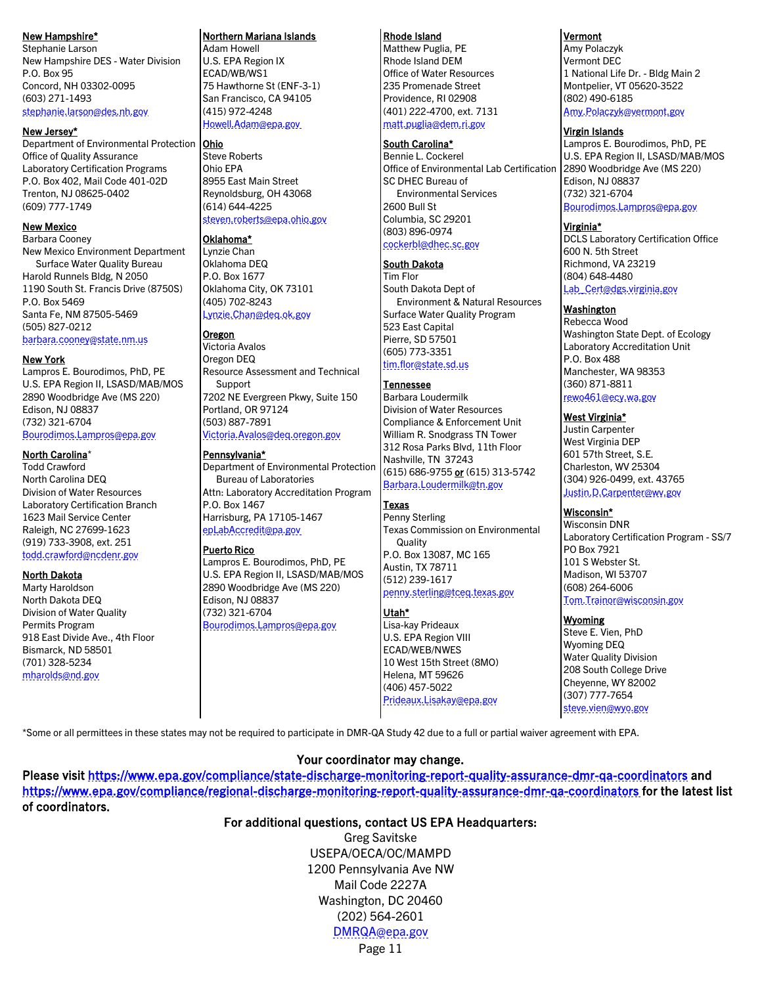#### <span id="page-10-0"></span>New Hampshire\*

Stephanie Larson New Hampshire DES - Water Division P.O. Box 95 Concord, NH 03302-0095 (603) 271-1493 [stephanie.larson@des.nh.gov](mailto:Stephanie.Larson@des.nh.gov)

#### New Jersey\*

Department of Environmental Protection | Ohio Office of Quality Assurance Laboratory Certification Programs P.O. Box 402, Mail Code 401-02D Trenton, NJ 08625-0402 (609) 777-1749

#### New Mexico

Barbara Cooney New Mexico Environment Department Surface Water Quality Bureau Harold Runnels Bldg, N 2050 1190 South St. Francis Drive (8750S) P.O. Box 5469 Santa Fe, NM 87505-5469 (505) 827-0212 [barbara.cooney@state.nm.us](mailto:barbara.cooney@state.nm.us)

New York Lampros E. Bourodimos, PhD, PE U.S. EPA Region II, LSASD/MAB/MOS 2890 Woodbridge Ave (MS 220) Edison, NJ 08837 (732) 321-6704 [Bourodimos.Lampros@epa.gov](mailto:Bourodimos.Lampros@epa.gov)

#### North Carolina\*

Todd Crawford North Carolina DEQ Division of Water Resources Laboratory Certification Branch 1623 Mail Service Center Raleigh, NC 27699-1623 (919) 733-3908, ext. 251 [todd.crawford@ncdenr.gov](mailto:todd.crawford@ncdenr.gov)

#### North Dakota

Marty Haroldson North Dakota DEQ Division of Water Quality Permits Program 918 East Divide Ave., 4th Floor Bismarck, ND 58501 (701) 328-5234 [mharolds@nd.gov](mailto:mharolds@nd.gov)

#### Northern Mariana Islands

Adam Howell U.S. EPA Region IX ECAD/WB/WS1 75 Hawthorne St (ENF-3-1) San Francisco, CA 94105 (415) 972-4248 [Howell.Adam@epa.gov](mailto:Howell.Adam@epa.gov)

Steve Roberts Ohio EPA 8955 East Main Street Reynoldsburg, OH 43068 (614) 644-4225 [steven.roberts@epa.ohio.gov](mailto:steven.roberts@epa.ohio.gov)

#### Oklahoma\*

Lynzie Chan Oklahoma DEQ P.O. Box 1677 Oklahoma City, OK 73101 (405) 702-8243 [Lynzie.Chan@deq.ok.gov](mailto:Lynzie.Chan@deq.ok.gov)

#### Oregon

Victoria Avalos Oregon DEQ Resource Assessment and Technical Support 7202 NE Evergreen Pkwy, Suite 150 Portland, OR 97124 (503) 887-7891 [Victoria.Avalos@deq.oregon.gov](mailto:Victoria.Avalos@deq.oregon.gov)

#### Pennsylvania\*

Department of Environmental Protection Bureau of Laboratories Attn: Laboratory Accreditation Program P.O. Box 1467 Harrisburg, PA 17105-1467 [epLabAccredit@pa.gov](mailto:epLabAccredit@pa.gov)

#### Puerto Rico

Lampros E. Bourodimos, PhD, PE U.S. EPA Region II, LSASD/MAB/MOS 2890 Woodbridge Ave (MS 220) Edison, NJ 08837 (732) 321-6704 [Bourodimos.Lampros@epa.gov](mailto:Bourodimos.Lampros@epa.gov)

#### Rhode Island

Matthew Puglia, PE Rhode Island DEM Office of Water Resources 235 Promenade Street Providence, RI 02908 (401) 222-4700, ext. 7131 [matt.puglia@dem.ri.gov](mailto:matt.puglia@dem.ri.gov)

#### South Carolina\*

Bennie L. Cockerel Office of Environmental Lab Certification SC DHEC Bureau of Environmental Services 2600 Bull St Columbia, SC 29201 (803) 896-0974 [cockerbl@dhec.sc.gov](mailto:cockerbl@dhec.sc.gov)

#### South Dakota

Tim Flor South Dakota Dept of Environment & Natural Resources Surface Water Quality Program 523 East Capital Pierre, SD 57501 (605) 773-3351 [tim.flor@state.sd.us](mailto:tim.flor@state.sd.us)

#### Tennessee

Barbara Loudermilk Division of Water Resources Compliance & Enforcement Unit William R. Snodgrass TN Tower 312 Rosa Parks Blvd, 11th Floor Nashville, TN 37243 (615) 686-9755 or (615) 313-5742 [Barbara.Loudermilk@tn.gov](mailto:Barbara.Loudermilk@tn.gov)

#### Texas

Penny Sterling Texas Commission on Environmental **Quality** P.O. Box 13087, MC 165 Austin, TX 78711 (512) 239-1617 [penny.sterling@tceq.texas.gov](mailto:penny.sterling@tceq.texas.gov)

#### Utah\*

Lisa-kay Prideaux U.S. EPA Region VIII ECAD/WEB/NWES 10 West 15th Street (8MO) Helena, MT 59626 (406) 457-5022 [Prideaux.Lisakay@epa.gov](mailto:Prideaux.Lisakay@epa.gov)

#### **Vermont**

Amy Polaczyk Vermont DEC 1 National Life Dr. - Bldg Main 2 Montpelier, VT 05620-3522 (802) 490-6185 [Amy.Polaczyk@vermont.gov](mailto:Amy.Polaczyk@vermont.gov)

#### Virgin Islands

Lampros E. Bourodimos, PhD, PE U.S. EPA Region II, LSASD/MAB/MOS 2890 Woodbridge Ave (MS 220) Edison, NJ 08837 (732) 321-6704 [Bourodimos.Lampros@epa.gov](mailto:Bourodimos.Lampros@epa.gov)

#### Virginia\*

DCLS Laboratory Certification Office 600 N. 5th Street Richmond, VA 23219 (804) 648-4480 [Lab\\_Cert@dgs.virginia.gov](mailto:Lab_Cert@dgs.virginia.gov)

#### Washington

Rebecca Wood Washington State Dept. of Ecology Laboratory Accreditation Unit P.O. Box 488 Manchester, WA 98353 (360) 871-8811 [rewo461@ecy.wa.gov](mailto:rewo461@ecy.wa.gov)

#### West Virginia\*

Justin Carpenter West Virginia DEP 601 57th Street, S.E. Charleston, WV 25304 (304) 926-0499, ext. 43765 [Justin.D.Carpenter@wv.gov](mailto:Justin.D.Carpenter@wv.gov)

#### Wisconsin\*

Wisconsin DNR Laboratory Certification Program - SS/7 PO Box 7921 101 S Webster St. Madison, WI 53707 (608) 264-6006 [Tom.Trainor@wisconsin.gov](mailto:Tom.Trainor@wisconsin.gov)

#### Wyoming

Steve E. Vien, PhD Wyoming DEQ Water Quality Division 208 South College Drive Cheyenne, WY 82002 (307) 777-7654 [steve.vien@wyo.gov](mailto:steve.vien@wyo.gov)

\*Some or all permittees in these states may not be required to participate in DMR-QA Study 42 due to a full or partial waiver agreement with EPA.

#### Your coordinator may change.

Please visit<https://www.epa.gov/compliance/state-discharge-monitoring-report-quality-assurance-dmr-qa-coordinators>and [https://www.epa.gov/compliance/regional-discharge-monitoring-report-quality-assurance-dmr-qa-coordinators f](http://www2.epa.gov/compliance/regional-discharge-monitoring-report-quality-assurance-dmr-qa-coordinators)or the latest list of coordinators.

#### For additional questions, contact US EPA Headquarters:

Page 11 Greg Savitske USEPA/OECA/OC/MAMPD 1200 Pennsylvania Ave NW Mail Code 2227A Washington, DC 20460 (202) 564-2601 [DMRQA@epa.gov](mailto:dmrqa@epa.gov)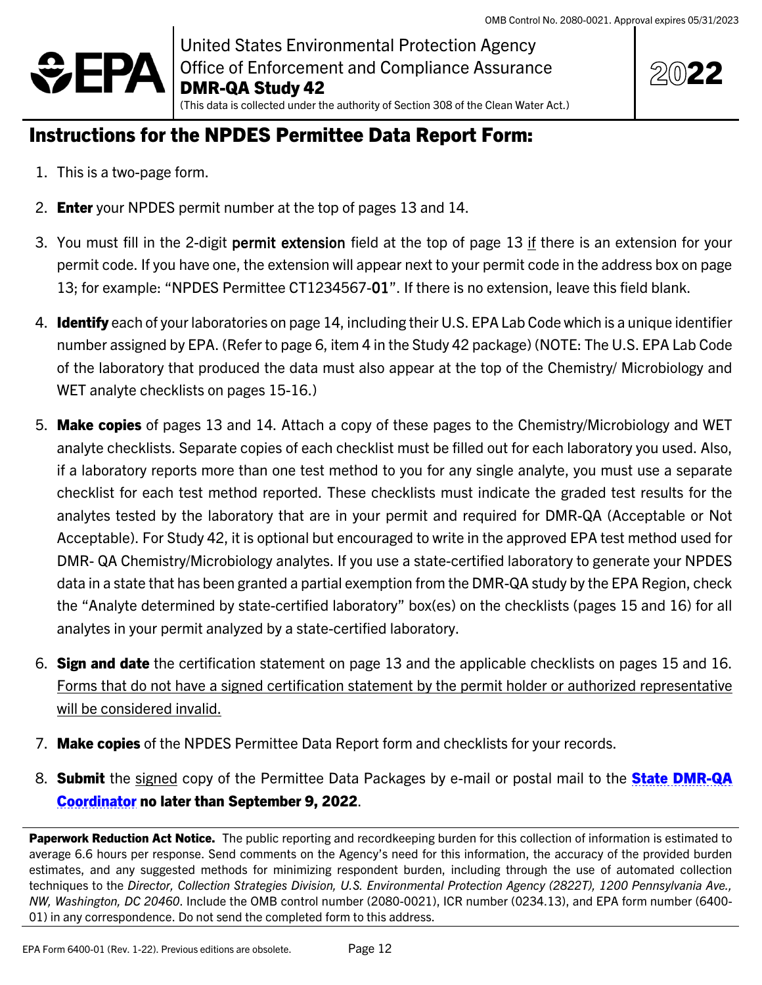

United States Environmental Protection Agency Office of Enforcement and Compliance Assurance DMR-QA Study 42 (This data is collected under the authority of Section 308 of the Clean Water Act.)



## <span id="page-11-0"></span>Instructions for the NPDES Permittee Data Report Form:

- 1. This is a two-page form.
- 2. **Enter** your NPDES permit number at the top of pages [13](#page-12-0) and [14.](#page-13-0)
- 3. You must fill in the 2-digit permit extension field at the top of page [13](#page-12-0) if there is an extension for your permit code. If you have one, the extension will appear next to your permit code in the address box on page [13;](#page-12-0) for example: "NPDES Permittee CT1234567-01". If there is no extension, leave this field blank.
- 4. **Identify** each of your laboratories on page [14,](#page-13-0) including their U.S. EPA Lab Code which is a unique identifier number assigned by EPA. (Refer to page [6,](#page-5-0) item 4 in the Study 42 package) (NOTE: The U.S. EPA Lab Code of the laboratory that produced the data must also appear at the top of the Chemistry/ Microbiology and WET analyte checklists on pages [15-](#page-14-0)[16.](#page-15-0))
- 5. Make copies of pages [13](#page-12-0) and [14.](#page-13-0) Attach a copy of these pages to the Chemistry/Microbiology and WET analyte checklists. Separate copies of each checklist must be filled out for each laboratory you used. Also, if a laboratory reports more than one test method to you for any single analyte, you must use a separate checklist for each test method reported. These checklists must indicate the graded test results for the analytes tested by the laboratory that are in your permit and required for DMR-QA (Acceptable or Not Acceptable). For Study 42, it is optional but encouraged to write in the approved EPA test method used for DMR- QA Chemistry/Microbiology analytes. If you use a state-certified laboratory to generate your NPDES data in a state that has been granted a partial exemption from the DMR-QA study by the EPA Region, check the "Analyte determined by state-certified laboratory" box(es) on the checklists (pages [15](#page-14-0) and [16\)](#page-15-0) for all analytes in your permit analyzed by a state-certified laboratory.
- 6. Sign and date the certification statement on page [13](#page-12-0) and the applicable checklists on pages [15](#page-14-0) and [16.](#page-15-0) Forms that do not have a signed certification statement by the permit holder or authorized representative will be considered invalid.
- 7. Make copies of the NPDES Permittee Data Report form and checklists for your records.
- 8. **Submit** the signed copy of the Permittee Data Packages by e-mail or postal mail to the **[State DMR-QA](#page-9-0)** [Coordinator](#page-9-0) no later than September 9, 2022.

Paperwork Reduction Act Notice. The public reporting and recordkeeping burden for this collection of information is estimated to average 6.6 hours per response. Send comments on the Agency's need for this information, the accuracy of the provided burden estimates, and any suggested methods for minimizing respondent burden, including through the use of automated collection techniques to the *Director, Collection Strategies Division, U.S. Environmental Protection Agency (2822T), 1200 Pennsylvania Ave., NW, Washington, DC 20460*. Include the OMB control number (2080-0021), ICR number (0234.13), and EPA form number (6400- 01) in any correspondence. Do not send the completed form to this address.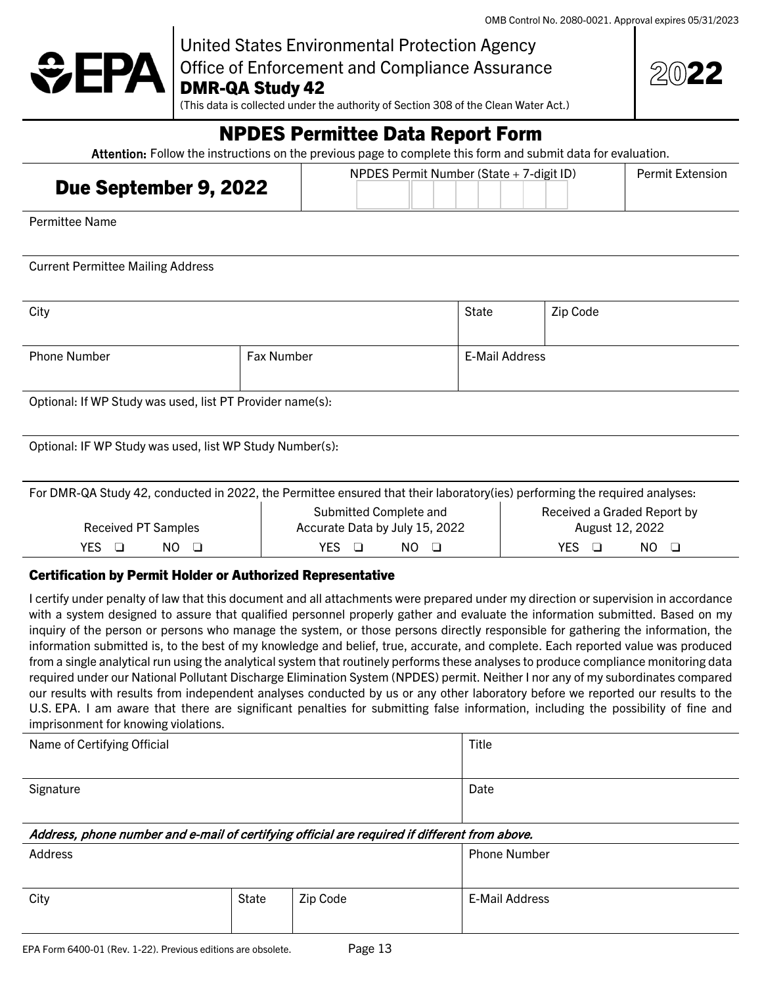

United States Environmental Protection Agency Office of Enforcement and Compliance Assurance

DMR-QA Study 42

(This data is collected under the authority of Section 308 of the Clean Water Act.)

| 202<br>$\blacktriangleleft$ |
|-----------------------------|
|-----------------------------|

## NPDES Permittee Data Report Form

Attention: Follow the instructions on the previous page to complete this form and submit data for evaluation.

<span id="page-12-0"></span>

| Due September 9, 2022 | NPDES Permit Number (State + 7-digit ID) | <b>Permit Extension</b> |
|-----------------------|------------------------------------------|-------------------------|
|                       |                                          |                         |

Permittee Name

Current Permittee Mailing Address

| City                                                      |  | State          | Zip Code |
|-----------------------------------------------------------|--|----------------|----------|
|                                                           |  |                |          |
| <b>Phone Number</b><br>Fax Number                         |  | E-Mail Address |          |
| Optional: If WP Study was used, list PT Provider name(s): |  |                |          |

Optional: IF WP Study was used, list WP Study Number(s):

| For DMR-QA Study 42, conducted in 2022, the Permittee ensured that their laboratory (ies) performing the required analyses: |                                                          |                                                |  |  |
|-----------------------------------------------------------------------------------------------------------------------------|----------------------------------------------------------|------------------------------------------------|--|--|
| <b>Received PT Samples</b>                                                                                                  | Submitted Complete and<br>Accurate Data by July 15, 2022 | Received a Graded Report by<br>August 12, 2022 |  |  |
|                                                                                                                             |                                                          |                                                |  |  |
| NO <sub>0</sub><br>YES.                                                                                                     | NO <sub>0</sub><br>YES.                                  | $NO$ $\Box$<br>YFS.                            |  |  |

#### Certification by Permit Holder or Authorized Representative

I certify under penalty of law that this document and all attachments were prepared under my direction or supervision in accordance with a system designed to assure that qualified personnel properly gather and evaluate the information submitted. Based on my inquiry of the person or persons who manage the system, or those persons directly responsible for gathering the information, the information submitted is, to the best of my knowledge and belief, true, accurate, and complete. Each reported value was produced from a single analytical run using the analytical system that routinely performs these analyses to produce compliance monitoring data required under our National Pollutant Discharge Elimination System (NPDES) permit. Neither I nor any of my subordinates compared our results with results from independent analyses conducted by us or any other laboratory before we reported our results to the U.S. EPA. I am aware that there are significant penalties for submitting false information, including the possibility of fine and imprisonment for knowing violations.

| Name of Certifying Official                                                                   |  | <b>Title</b>        |  |
|-----------------------------------------------------------------------------------------------|--|---------------------|--|
|                                                                                               |  | Date                |  |
| Signature                                                                                     |  |                     |  |
| Address, phone number and e-mail of certifying official are required if different from above. |  |                     |  |
| Address                                                                                       |  | <b>Phone Number</b> |  |
|                                                                                               |  |                     |  |
| City<br>State<br>Zip Code                                                                     |  | E-Mail Address      |  |
|                                                                                               |  |                     |  |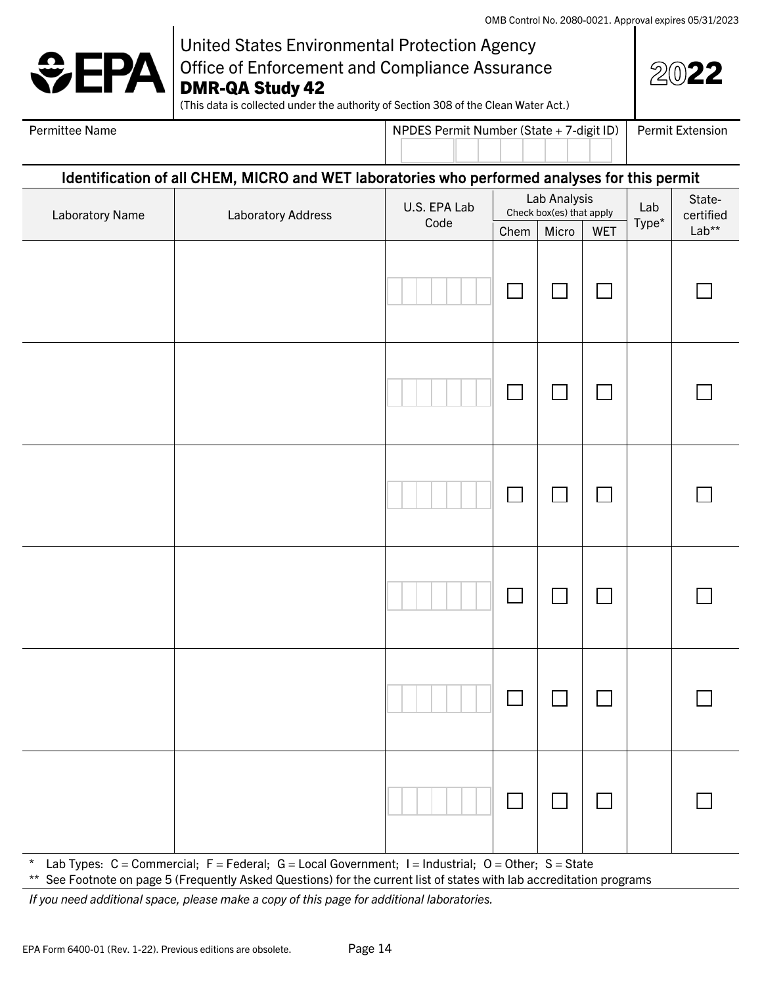# $\div$ EPA

## United States Environmental Protection Agency Office of Enforcement and Compliance Assurance DMR-QA Study 42

| - 1<br>÷ |
|----------|
|----------|

(This data is collected under the authority of Section 308 of the Clean Water Act.)

<span id="page-13-0"></span>

| Permittee Name |  |
|----------------|--|
|                |  |

NPDES Permit Number (State + 7-digit ID) Permit Extension

#### Identification of all CHEM, MICRO and WET laboratories who performed analyses for this permit

| Laboratory Name | <b>Laboratory Address</b> | U.S. EPA Lab<br>Code | Lab Analysis<br>Check box(es) that apply |        |        | Lab   | State-<br>certified |
|-----------------|---------------------------|----------------------|------------------------------------------|--------|--------|-------|---------------------|
|                 |                           |                      | Chem                                     | Micro  | WET    | Type* | $Lab**$             |
|                 |                           |                      | $\sim 10^6$                              | $\Box$ | $\Box$ |       |                     |
|                 |                           |                      | $\sim$                                   | $\Box$ | $\Box$ |       |                     |
|                 |                           |                      |                                          | $\Box$ | $\Box$ |       |                     |
|                 |                           |                      | $\sim 10^6$                              | $\Box$ | П      |       |                     |
|                 |                           |                      | $\sim 10$                                | $\Box$ | $\Box$ |       |                     |
|                 |                           |                      | $\Box$                                   | $\Box$ | $\Box$ |       |                     |

Lab Types: C = Commercial; F = Federal; G = Local Government; I = Industrial; O = Other; S = State

\*\* See Footnote on pag[e 5](#page-4-3) (Frequently Asked Questions) for the current list of states with lab accreditation programs

*If you need additional space, please make a copy of this page for additional laboratories.*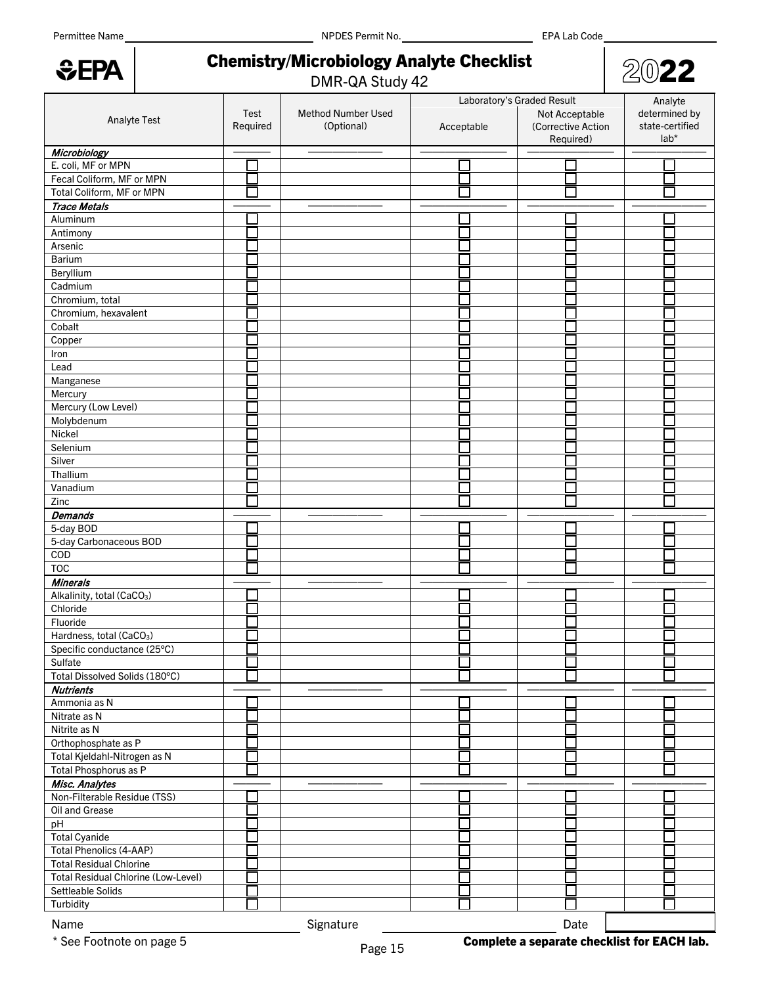*<u>GEPA</u>* 

Permittee Name EPA Lab Code Name NPDES Permit No.

| 20'<br>- - |
|------------|
|            |

# <span id="page-14-0"></span>Chemistry/Microbiology Analyte Checklist<br>DMR-QA Study 42

|                                        |          |                                  | Laboratory's Graded Result | Analyte            |                 |
|----------------------------------------|----------|----------------------------------|----------------------------|--------------------|-----------------|
|                                        | Test     | Method Number Used<br>(Optional) |                            | Not Acceptable     | determined by   |
| Analyte Test                           | Required |                                  | Acceptable                 | (Corrective Action | state-certified |
|                                        |          |                                  |                            | Required)          | lab*            |
| Microbiology                           |          |                                  |                            |                    |                 |
| E. coli, MF or MPN                     |          |                                  |                            |                    |                 |
| Fecal Coliform, MF or MPN              |          |                                  |                            |                    |                 |
| Total Coliform, MF or MPN              |          |                                  |                            |                    |                 |
| <b>Trace Metals</b>                    |          |                                  |                            |                    |                 |
| Aluminum                               |          |                                  |                            |                    |                 |
| Antimony                               |          |                                  |                            |                    |                 |
| Arsenic                                |          |                                  |                            |                    |                 |
| Barium                                 |          |                                  |                            |                    |                 |
| Beryllium                              |          |                                  |                            |                    |                 |
| Cadmium                                |          |                                  |                            |                    |                 |
| Chromium, total                        |          |                                  |                            |                    |                 |
| Chromium, hexavalent                   |          |                                  |                            |                    |                 |
| Cobalt                                 |          |                                  |                            |                    |                 |
| Copper                                 |          |                                  |                            |                    |                 |
| Iron                                   |          |                                  |                            |                    |                 |
| Lead                                   |          |                                  |                            |                    |                 |
| Manganese                              |          |                                  |                            |                    |                 |
| Mercury                                |          |                                  |                            |                    |                 |
| Mercury (Low Level)                    |          |                                  |                            |                    |                 |
| Molybdenum                             |          |                                  |                            |                    |                 |
| Nickel                                 |          |                                  |                            |                    |                 |
| Selenium                               |          |                                  |                            |                    |                 |
| Silver                                 |          |                                  |                            |                    |                 |
| Thallium                               |          |                                  |                            |                    |                 |
| Vanadium                               |          |                                  |                            |                    |                 |
| Zinc                                   |          |                                  |                            |                    |                 |
| <b>Demands</b>                         |          |                                  |                            |                    |                 |
| 5-day BOD                              |          |                                  |                            |                    |                 |
| 5-day Carbonaceous BOD                 |          |                                  |                            |                    |                 |
| $\overline{COD}$                       |          |                                  |                            |                    |                 |
| <b>TOC</b>                             |          |                                  |                            |                    |                 |
| <b>Minerals</b>                        |          |                                  |                            |                    |                 |
| Alkalinity, total (CaCO <sub>3</sub> ) |          |                                  |                            |                    |                 |
| Chloride                               |          |                                  |                            |                    |                 |
| Fluoride                               |          |                                  |                            |                    |                 |
| Hardness, total (CaCO <sub>3</sub> )   |          |                                  |                            |                    |                 |
| Specific conductance (25°C)            |          |                                  |                            |                    |                 |
| Sulfate                                |          |                                  |                            |                    |                 |
| Total Dissolved Solids (180°C)         |          |                                  |                            |                    |                 |
| <b>Nutrients</b>                       |          |                                  |                            |                    |                 |
| Ammonia as N                           |          |                                  |                            |                    |                 |
| Nitrate as N                           |          |                                  |                            |                    |                 |
| Nitrite as N                           |          |                                  |                            |                    |                 |
| Orthophosphate as P                    |          |                                  |                            |                    |                 |
| Total Kjeldahl-Nitrogen as N           |          |                                  |                            |                    |                 |
| Total Phosphorus as P                  |          |                                  |                            |                    |                 |
| Misc. Analytes                         |          |                                  |                            |                    |                 |
| Non-Filterable Residue (TSS)           |          |                                  |                            |                    |                 |
| Oil and Grease                         |          |                                  |                            |                    |                 |
| pH                                     |          |                                  |                            |                    |                 |
| <b>Total Cyanide</b>                   |          |                                  |                            |                    |                 |
| <b>Total Phenolics (4-AAP)</b>         |          |                                  |                            |                    |                 |
| <b>Total Residual Chlorine</b>         |          |                                  |                            |                    |                 |
| Total Residual Chlorine (Low-Level)    |          |                                  |                            |                    |                 |
| Settleable Solids                      |          |                                  |                            |                    |                 |
| Turbidity                              |          |                                  |                            |                    |                 |
|                                        |          |                                  |                            |                    |                 |
| Name                                   |          | Signature                        |                            | Date               |                 |

\* See Footnote on pag[e 5](#page-4-3) **Complete a separate checklist for EACH lab.**